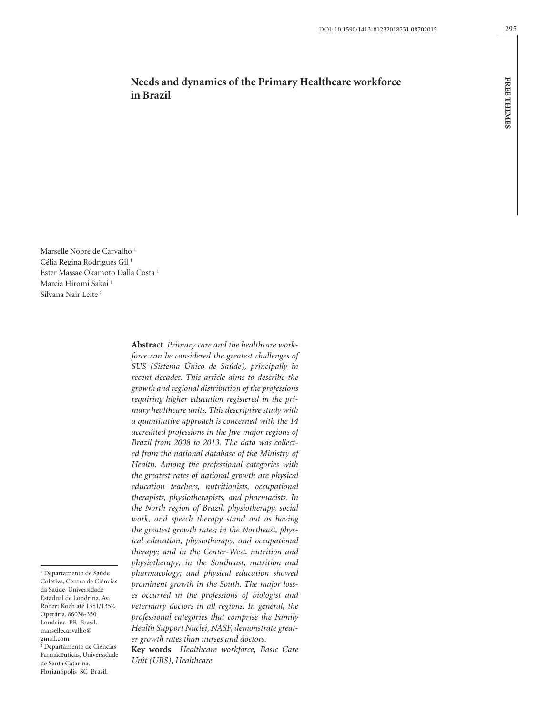**FREE THEMES**

**FREE THEMES** 

# **Needs and dynamics of the Primary Healthcare workforce in Brazil**

Marselle Nobre de Carvalho<sup>1</sup> Célia Regina Rodrigues Gil 1 Ester Massae Okamoto Dalla Costa<sup>1</sup> Marcia Hiromi Sakai<sup>1</sup> Silvana Nair Leite<sup>2</sup>

1 Departamento de Saúde Coletiva, Centro de Ciências da Saúde, Universidade Estadual de Londrina. Av. Robert Koch até 1351/1352, Operária. 86038-350 Londrina PR Brasil. marsellecarvalho@ gmail.com 2 Departamento de Ciências Farmacêuticas, Universidade de Santa Catarina. Florianópolis SC Brasil.

**Abstract** *Primary care and the healthcare workforce can be considered the greatest challenges of SUS (Sistema Único de Saúde), principally in recent decades. This article aims to describe the growth and regional distribution of the professions requiring higher education registered in the primary healthcare units. This descriptive study with a quantitative approach is concerned with the 14 accredited professions in the five major regions of Brazil from 2008 to 2013. The data was collected from the national database of the Ministry of Health. Among the professional categories with the greatest rates of national growth are physical education teachers, nutritionists, occupational therapists, physiotherapists, and pharmacists. In the North region of Brazil, physiotherapy, social work, and speech therapy stand out as having the greatest growth rates; in the Northeast, physical education, physiotherapy, and occupational therapy; and in the Center-West, nutrition and physiotherapy; in the Southeast, nutrition and pharmacology; and physical education showed prominent growth in the South. The major losses occurred in the professions of biologist and veterinary doctors in all regions. In general, the professional categories that comprise the Family Health Support Nuclei, NASF, demonstrate greater growth rates than nurses and doctors*.

**Key words** *Healthcare workforce, Basic Care Unit (UBS), Healthcare*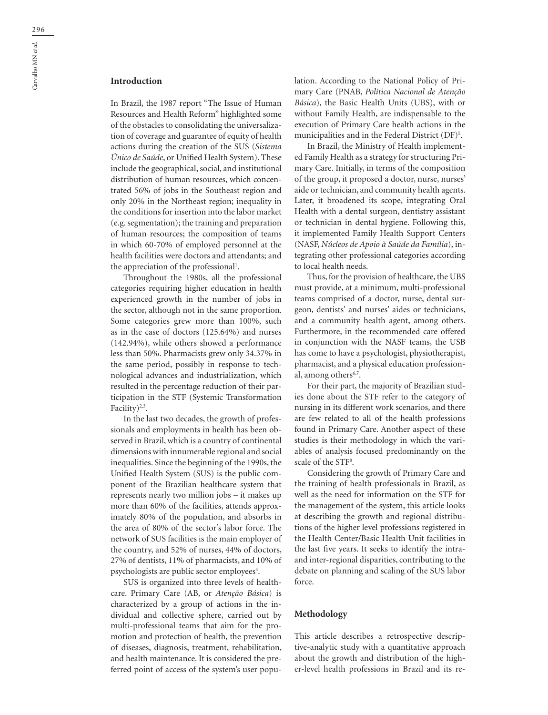# **Introduction**

In Brazil, the 1987 report "The Issue of Human Resources and Health Reform" highlighted some of the obstacles to consolidating the universalization of coverage and guarantee of equity of health actions during the creation of the SUS (*Sistema Único de Saúde*, or Unified Health System). These include the geographical, social, and institutional distribution of human resources, which concentrated 56% of jobs in the Southeast region and only 20% in the Northeast region; inequality in the conditions for insertion into the labor market (e.g. segmentation); the training and preparation of human resources; the composition of teams in which 60-70% of employed personnel at the health facilities were doctors and attendants; and the appreciation of the professional<sup>1</sup>.

Throughout the 1980s, all the professional categories requiring higher education in health experienced growth in the number of jobs in the sector, although not in the same proportion. Some categories grew more than 100%, such as in the case of doctors (125.64%) and nurses (142.94%), while others showed a performance less than 50%. Pharmacists grew only 34.37% in the same period, possibly in response to technological advances and industrialization, which resulted in the percentage reduction of their participation in the STF (Systemic Transformation Facility) $2,3$ .

In the last two decades, the growth of professionals and employments in health has been observed in Brazil, which is a country of continental dimensions with innumerable regional and social inequalities. Since the beginning of the 1990s, the Unified Health System (SUS) is the public component of the Brazilian healthcare system that represents nearly two million jobs – it makes up more than 60% of the facilities, attends approximately 80% of the population, and absorbs in the area of 80% of the sector's labor force. The network of SUS facilities is the main employer of the country, and 52% of nurses, 44% of doctors, 27% of dentists, 11% of pharmacists, and 10% of psychologists are public sector employees<sup>4</sup>.

SUS is organized into three levels of healthcare. Primary Care (AB, or *Atenção Básica*) is characterized by a group of actions in the individual and collective sphere, carried out by multi-professional teams that aim for the promotion and protection of health, the prevention of diseases, diagnosis, treatment, rehabilitation, and health maintenance. It is considered the preferred point of access of the system's user population. According to the National Policy of Primary Care (PNAB, *Política Nacional de Atenção Básica*), the Basic Health Units (UBS), with or without Family Health, are indispensable to the execution of Primary Care health actions in the municipalities and in the Federal District (DF)<sup>5</sup>.

In Brazil, the Ministry of Health implemented Family Health as a strategy for structuring Primary Care. Initially, in terms of the composition of the group, it proposed a doctor, nurse, nurses' aide or technician, and community health agents. Later, it broadened its scope, integrating Oral Health with a dental surgeon, dentistry assistant or technician in dental hygiene. Following this, it implemented Family Health Support Centers (NASF, *Núcleos de Apoio à Saúde da Família*), integrating other professional categories according to local health needs.

Thus, for the provision of healthcare, the UBS must provide, at a minimum, multi-professional teams comprised of a doctor, nurse, dental surgeon, dentists' and nurses' aides or technicians, and a community health agent, among others. Furthermore, in the recommended care offered in conjunction with the NASF teams, the USB has come to have a psychologist, physiotherapist, pharmacist, and a physical education professional, among others<sup>6,7</sup>.

For their part, the majority of Brazilian studies done about the STF refer to the category of nursing in its different work scenarios, and there are few related to all of the health professions found in Primary Care. Another aspect of these studies is their methodology in which the variables of analysis focused predominantly on the scale of the STF<sup>8</sup>.

Considering the growth of Primary Care and the training of health professionals in Brazil, as well as the need for information on the STF for the management of the system, this article looks at describing the growth and regional distributions of the higher level professions registered in the Health Center/Basic Health Unit facilities in the last five years. It seeks to identify the intraand inter-regional disparities, contributing to the debate on planning and scaling of the SUS labor force.

### **Methodology**

This article describes a retrospective descriptive-analytic study with a quantitative approach about the growth and distribution of the higher-level health professions in Brazil and its re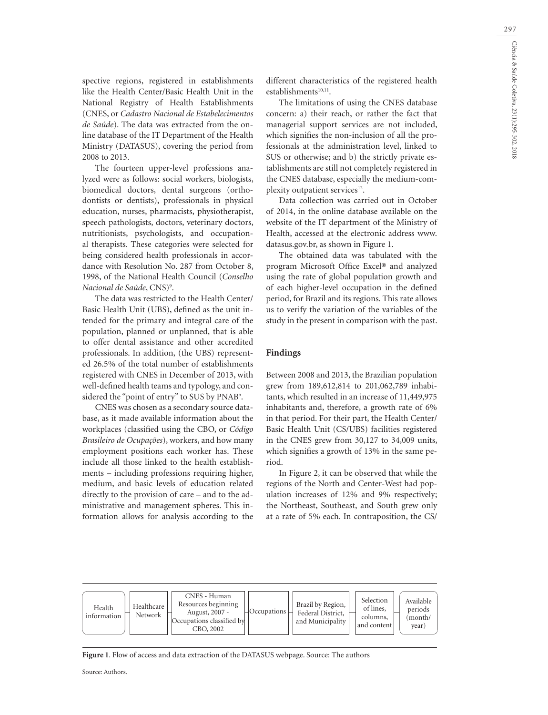spective regions, registered in establishments like the Health Center/Basic Health Unit in the National Registry of Health Establishments (CNES, or *Cadastro Nacional de Estabelecimentos de Saúde*). The data was extracted from the online database of the IT Department of the Health Ministry (DATASUS), covering the period from 2008 to 2013.

The fourteen upper-level professions analyzed were as follows: social workers, biologists, biomedical doctors, dental surgeons (orthodontists or dentists), professionals in physical education, nurses, pharmacists, physiotherapist, speech pathologists, doctors, veterinary doctors, nutritionists, psychologists, and occupational therapists. These categories were selected for being considered health professionals in accordance with Resolution No. 287 from October 8, 1998, of the National Health Council (*Conselho Nacional de Saúde*, CNS)9 .

The data was restricted to the Health Center/ Basic Health Unit (UBS), defined as the unit intended for the primary and integral care of the population, planned or unplanned, that is able to offer dental assistance and other accredited professionals. In addition, (the UBS) represented 26.5% of the total number of establishments registered with CNES in December of 2013, with well-defined health teams and typology, and considered the "point of entry" to SUS by PNAB5 .

CNES was chosen as a secondary source database, as it made available information about the workplaces (classified using the CBO, or *Código Brasileiro de Ocupações*), workers, and how many employment positions each worker has. These include all those linked to the health establishments – including professions requiring higher, medium, and basic levels of education related directly to the provision of care – and to the administrative and management spheres. This information allows for analysis according to the

different characteristics of the registered health establishments<sup>10,11</sup>.

The limitations of using the CNES database concern: a) their reach, or rather the fact that managerial support services are not included, which signifies the non-inclusion of all the professionals at the administration level, linked to SUS or otherwise; and b) the strictly private establishments are still not completely registered in the CNES database, especially the medium-complexity outpatient services<sup>12</sup>.

Data collection was carried out in October of 2014, in the online database available on the website of the IT department of the Ministry of Health, accessed at the electronic address www. datasus.gov.br, as shown in Figure 1.

The obtained data was tabulated with the program Microsoft Office Excel® and analyzed using the rate of global population growth and of each higher-level occupation in the defined period, for Brazil and its regions. This rate allows us to verify the variation of the variables of the study in the present in comparison with the past.

## **Findings**

Between 2008 and 2013, the Brazilian population grew from 189,612,814 to 201,062,789 inhabitants, which resulted in an increase of 11,449,975 inhabitants and, therefore, a growth rate of 6% in that period. For their part, the Health Center/ Basic Health Unit (CS/UBS) facilities registered in the CNES grew from 30,127 to 34,009 units, which signifies a growth of 13% in the same period.

In Figure 2, it can be observed that while the regions of the North and Center-West had population increases of 12% and 9% respectively; the Northeast, Southeast, and South grew only at a rate of 5% each. In contraposition, the CS/

**Figure 1**. Flow of access and data extraction of the DATASUS webpage. Source: The authors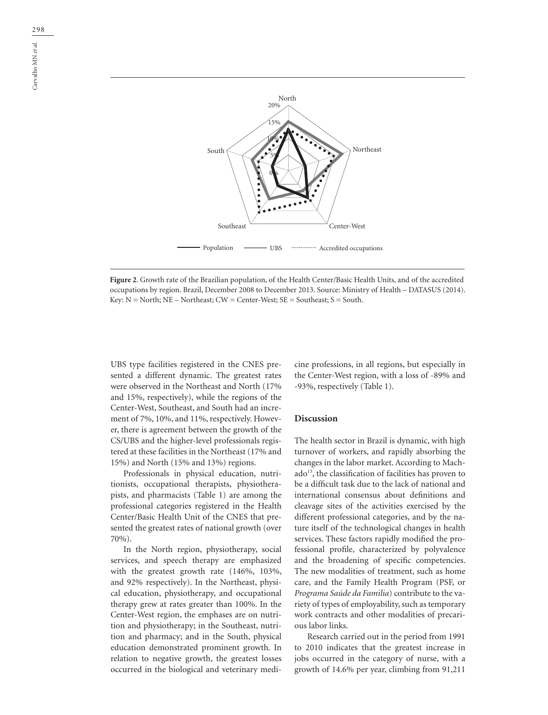

**Figure 2**. Growth rate of the Brazilian population, of the Health Center/Basic Health Units, and of the accredited occupations by region. Brazil, December 2008 to December 2013. Source: Ministry of Health – DATASUS (2014). Key:  $N = North$ ;  $NE - Northern$ ;  $CW = Center-West$ ;  $SE = Southern$ ;  $S = South$ .

UBS type facilities registered in the CNES presented a different dynamic. The greatest rates were observed in the Northeast and North (17% and 15%, respectively), while the regions of the Center-West, Southeast, and South had an increment of 7%, 10%, and 11%, respectively. However, there is agreement between the growth of the CS/UBS and the higher-level professionals registered at these facilities in the Northeast (17% and 15%) and North (15% and 13%) regions.

Professionals in physical education, nutritionists, occupational therapists, physiotherapists, and pharmacists (Table 1) are among the professional categories registered in the Health Center/Basic Health Unit of the CNES that presented the greatest rates of national growth (over 70%).

In the North region, physiotherapy, social services, and speech therapy are emphasized with the greatest growth rate (146%, 103%, and 92% respectively). In the Northeast, physical education, physiotherapy, and occupational therapy grew at rates greater than 100%. In the Center-West region, the emphases are on nutrition and physiotherapy; in the Southeast, nutrition and pharmacy; and in the South, physical education demonstrated prominent growth. In relation to negative growth, the greatest losses occurred in the biological and veterinary medicine professions, in all regions, but especially in the Center-West region, with a loss of -89% and -93%, respectively (Table 1).

## **Discussion**

The health sector in Brazil is dynamic, with high turnover of workers, and rapidly absorbing the changes in the labor market. According to Mach $ado<sup>13</sup>$ , the classification of facilities has proven to be a difficult task due to the lack of national and international consensus about definitions and cleavage sites of the activities exercised by the different professional categories, and by the nature itself of the technological changes in health services. These factors rapidly modified the professional profile, characterized by polyvalence and the broadening of specific competencies. The new modalities of treatment, such as home care, and the Family Health Program (PSF, or *Programa Saúde da Familia*) contribute to the variety of types of employability, such as temporary work contracts and other modalities of precarious labor links.

Research carried out in the period from 1991 to 2010 indicates that the greatest increase in jobs occurred in the category of nurse, with a growth of 14.6% per year, climbing from 91,211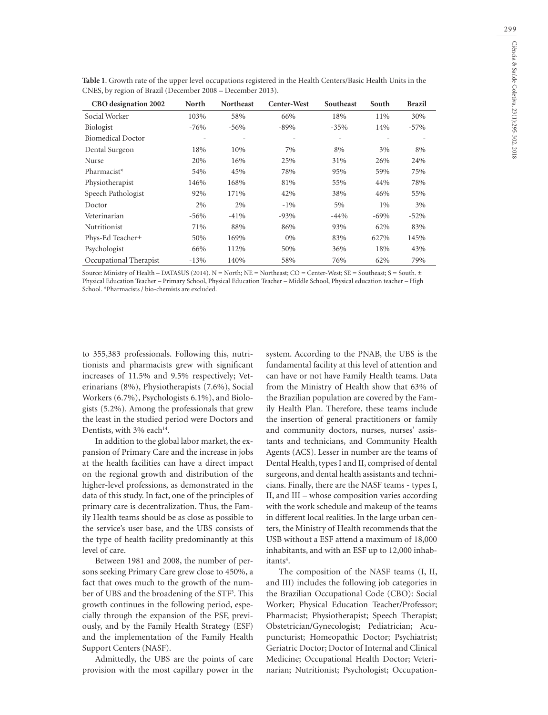| CBO designation 2002     | North   | <b>Northeast</b> | <b>Center-West</b> | Southeast                | South   | <b>Brazil</b> |
|--------------------------|---------|------------------|--------------------|--------------------------|---------|---------------|
| Social Worker            | 103%    | 58%              | 66%                | 18%                      | 11%     | 30%           |
| Biologist                | $-76\%$ | $-56%$           | $-89\%$            | $-35%$                   | 14%     | $-57%$        |
| <b>Biomedical Doctor</b> |         | -                |                    | $\overline{\phantom{a}}$ |         |               |
| Dental Surgeon           | 18%     | 10%              | 7%                 | 8%                       | 3%      | 8%            |
| Nurse                    | 20%     | 16%              | 25%                | 31%                      | 26%     | 24%           |
| Pharmacist*              | 54%     | 45%              | 78%                | 95%                      | 59%     | 75%           |
| Physiotherapist          | 146%    | 168%             | 81%                | 55%                      | 44%     | 78%           |
| Speech Pathologist       | 92%     | 171%             | 42%                | 38%                      | 46%     | 55%           |
| Doctor                   | 2%      | 2%               | $-1\%$             | 5%                       | 1%      | 3%            |
| Veterinarian             | $-56\%$ | $-41\%$          | $-93%$             | $-44%$                   | $-69\%$ | $-52\%$       |
| Nutritionist             | 71%     | 88%              | 86%                | 93%                      | 62%     | 83%           |
| Phys-Ed Teacher±         | 50%     | 169%             | $0\%$              | 83%                      | 627%    | 145%          |
| Psychologist             | 66%     | 112%             | 50%                | 36%                      | 18%     | 43%           |
| Occupational Therapist   | $-13%$  | 140%             | 58%                | 76%                      | 62%     | 79%           |

**Table 1**. Growth rate of the upper level occupations registered in the Health Centers/Basic Health Units in the  $\text{mean of } \text{B}$  regil (December 2013).

| Source: Ministry of Health – DATASUS (2014). N = North; NE = Northeast; CO = Center-West; SE = Southeast; S = South. $\pm$ |
|----------------------------------------------------------------------------------------------------------------------------|
| Physical Education Teacher – Primary School, Physical Education Teacher – Middle School, Physical education teacher – High |
| School. *Pharmacists / bio-chemists are excluded.                                                                          |

to 355,383 professionals. Following this, nutritionists and pharmacists grew with significant increases of 11.5% and 9.5% respectively; Veterinarians (8%), Physiotherapists (7.6%), Social Workers (6.7%), Psychologists 6.1%), and Biologists (5.2%). Among the professionals that grew the least in the studied period were Doctors and Dentists, with 3% each<sup>14</sup>.

In addition to the global labor market, the expansion of Primary Care and the increase in jobs at the health facilities can have a direct impact on the regional growth and distribution of the higher-level professions, as demonstrated in the data of this study. In fact, one of the principles of primary care is decentralization. Thus, the Family Health teams should be as close as possible to the service's user base, and the UBS consists of the type of health facility predominantly at this level of care.

Between 1981 and 2008, the number of persons seeking Primary Care grew close to 450%, a fact that owes much to the growth of the number of UBS and the broadening of the STF<sup>5</sup>. This growth continues in the following period, especially through the expansion of the PSF, previously, and by the Family Health Strategy (ESF) and the implementation of the Family Health Support Centers (NASF).

Admittedly, the UBS are the points of care provision with the most capillary power in the

system. According to the PNAB, the UBS is the fundamental facility at this level of attention and can have or not have Family Health teams. Data from the Ministry of Health show that 63% of the Brazilian population are covered by the Family Health Plan. Therefore, these teams include the insertion of general practitioners or family and community doctors, nurses, nurses' assistants and technicians, and Community Health Agents (ACS). Lesser in number are the teams of Dental Health, types I and II, comprised of dental surgeons, and dental health assistants and technicians. Finally, there are the NASF teams - types I, II, and III – whose composition varies according with the work schedule and makeup of the teams in different local realities. In the large urban centers, the Ministry of Health recommends that the USB without a ESF attend a maximum of 18,000 inhabitants, and with an ESF up to 12,000 inhabitants<sup>4</sup>.

The composition of the NASF teams (I, II, and III) includes the following job categories in the Brazilian Occupational Code (CBO): Social Worker; Physical Education Teacher/Professor; Pharmacist; Physiotherapist; Speech Therapist; Obstetrician/Gynecologist; Pediatrician; Acupuncturist; Homeopathic Doctor; Psychiatrist; Geriatric Doctor; Doctor of Internal and Clinical Medicine; Occupational Health Doctor; Veterinarian; Nutritionist; Psychologist; Occupation-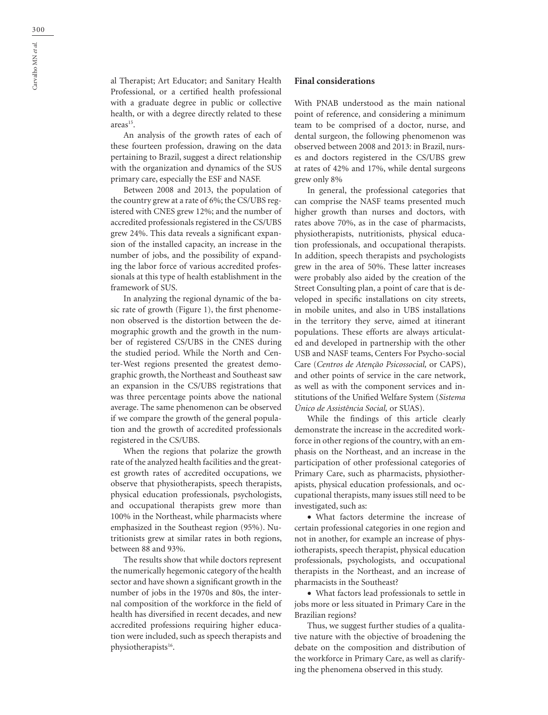al Therapist; Art Educator; and Sanitary Health Professional, or a certified health professional with a graduate degree in public or collective health, or with a degree directly related to these areas<sup>15</sup>.

An analysis of the growth rates of each of these fourteen profession, drawing on the data pertaining to Brazil, suggest a direct relationship with the organization and dynamics of the SUS primary care, especially the ESF and NASF.

Between 2008 and 2013, the population of the country grew at a rate of 6%; the CS/UBS registered with CNES grew 12%; and the number of accredited professionals registered in the CS/UBS grew 24%. This data reveals a significant expansion of the installed capacity, an increase in the number of jobs, and the possibility of expanding the labor force of various accredited professionals at this type of health establishment in the framework of SUS.

In analyzing the regional dynamic of the basic rate of growth (Figure 1), the first phenomenon observed is the distortion between the demographic growth and the growth in the number of registered CS/UBS in the CNES during the studied period. While the North and Center-West regions presented the greatest demographic growth, the Northeast and Southeast saw an expansion in the CS/UBS registrations that was three percentage points above the national average. The same phenomenon can be observed if we compare the growth of the general population and the growth of accredited professionals registered in the CS/UBS.

When the regions that polarize the growth rate of the analyzed health facilities and the greatest growth rates of accredited occupations, we observe that physiotherapists, speech therapists, physical education professionals, psychologists, and occupational therapists grew more than 100% in the Northeast, while pharmacists where emphasized in the Southeast region (95%). Nutritionists grew at similar rates in both regions, between 88 and 93%.

The results show that while doctors represent the numerically hegemonic category of the health sector and have shown a significant growth in the number of jobs in the 1970s and 80s, the internal composition of the workforce in the field of health has diversified in recent decades, and new accredited professions requiring higher education were included, such as speech therapists and physiotherapists<sup>16</sup>.

## **Final considerations**

With PNAB understood as the main national point of reference, and considering a minimum team to be comprised of a doctor, nurse, and dental surgeon, the following phenomenon was observed between 2008 and 2013: in Brazil, nurses and doctors registered in the CS/UBS grew at rates of 42% and 17%, while dental surgeons grew only 8%

In general, the professional categories that can comprise the NASF teams presented much higher growth than nurses and doctors, with rates above 70%, as in the case of pharmacists, physiotherapists, nutritionists, physical education professionals, and occupational therapists. In addition, speech therapists and psychologists grew in the area of 50%. These latter increases were probably also aided by the creation of the Street Consulting plan, a point of care that is developed in specific installations on city streets, in mobile unites, and also in UBS installations in the territory they serve, aimed at itinerant populations. These efforts are always articulated and developed in partnership with the other USB and NASF teams, Centers For Psycho-social Care (*Centros de Atenção Psicossocial,* or CAPS), and other points of service in the care network, as well as with the component services and institutions of the Unified Welfare System (*Sistema Único de Assistência Social,* or SUAS).

While the findings of this article clearly demonstrate the increase in the accredited workforce in other regions of the country, with an emphasis on the Northeast, and an increase in the participation of other professional categories of Primary Care, such as pharmacists, physiotherapists, physical education professionals, and occupational therapists, many issues still need to be investigated, such as:

• What factors determine the increase of certain professional categories in one region and not in another, for example an increase of physiotherapists, speech therapist, physical education professionals, psychologists, and occupational therapists in the Northeast, and an increase of pharmacists in the Southeast?

• What factors lead professionals to settle in jobs more or less situated in Primary Care in the Brazilian regions?

Thus, we suggest further studies of a qualitative nature with the objective of broadening the debate on the composition and distribution of the workforce in Primary Care, as well as clarifying the phenomena observed in this study.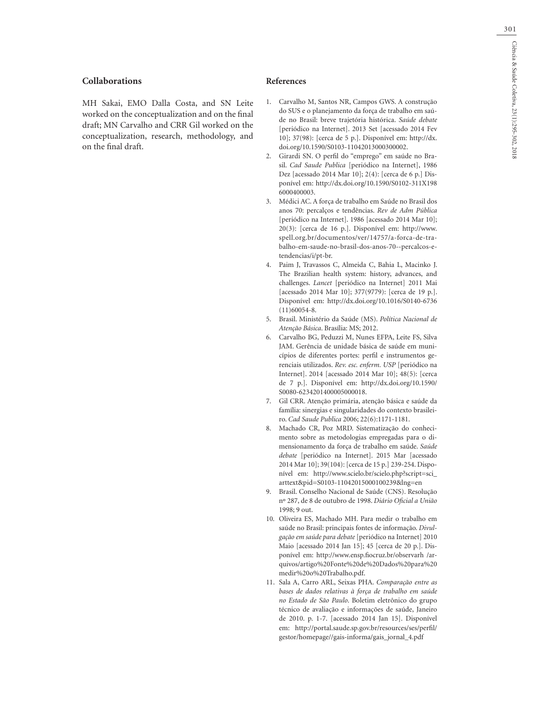## **Collaborations**

MH Sakai, EMO Dalla Costa, and SN Leite worked on the conceptualization and on the final draft; MN Carvalho and CRR Gil worked on the conceptualization, research, methodology, and on the final draft.

### **References**

- 1. Carvalho M, Santos NR, Campos GWS. A construção do SUS e o planejamento da força de trabalho em saúde no Brasil: breve trajetória histórica. *Saúde debate* [periódico na Internet]. 2013 Set [acessado 2014 Fev 10]; 37(98): [cerca de 5 p.]. Disponível em: http://dx. doi.org/10.1590/S0103-11042013000300002.
- 2. Girardi SN. O perfil do "emprego" em saúde no Brasil. *Cad Saude Publica* [periódico na Internet], 1986 Dez [acessado 2014 Mar 10]; 2(4): [cerca de 6 p.] Disponível em: http://dx.doi.org/10.1590/S0102-311X198 6000400003.
- 3. Médici AC. A força de trabalho em Saúde no Brasil dos anos 70: percalços e tendências. *Rev de Adm Pública* [periódico na Internet]. 1986 [acessado 2014 Mar 10]; 20(3): [cerca de 16 p.]. Disponível em: http://www. spell.org.br/documentos/ver/14757/a-forca-de-trabalho-em-saude-no-brasil-dos-anos-70--percalcos-etendencias/i/pt-br.
- 4. Paim J, Travassos C, Almeida C, Bahia L, Macinko J. The Brazilian health system: history, advances, and challenges. *Lancet* [periódico na Internet] 2011 Mai [acessado 2014 Mar 10]; 377(9779): [cerca de 19 p.]. Disponível em: http://dx.doi.org/10.1016/S0140-6736 (11)60054-8.
- 5. Brasil. Ministério da Saúde (MS). *Política Nacional de Atenção Básica*. Brasília: MS; 2012.
- 6. Carvalho BG, Peduzzi M, Nunes EFPA, Leite FS, Silva JAM. Gerência de unidade básica de saúde em municípios de diferentes portes: perfil e instrumentos gerenciais utilizados. *Rev. esc. enferm. USP* [periódico na Internet]. 2014 [acessado 2014 Mar 10]; 48(5): [cerca de 7 p.]. Disponível em: http://dx.doi.org/10.1590/ S0080-6234201400005000018.
- 7. Gil CRR. Atenção primária, atenção básica e saúde da família: sinergias e singularidades do contexto brasileiro. *Cad Saude Publica* 2006; 22(6):1171-1181.
- 8. Machado CR, Poz MRD. Sistematização do conhecimento sobre as metodologias empregadas para o dimensionamento da força de trabalho em saúde. *Saúde debate* [periódico na Internet]. 2015 Mar [acessado 2014 Mar 10]; 39(104): [cerca de 15 p.] 239-254. Disponível em: http://www.scielo.br/scielo.php?script=sci\_ arttext&pid=S0103-11042015000100239&lng=en
- 9. Brasil. Conselho Nacional de Saúde (CNS). Resolução nº 287, de 8 de outubro de 1998. *Diário Oficial a União* 1998; 9 out.
- 10. Oliveira ES, Machado MH. Para medir o trabalho em saúde no Brasil: principais fontes de informação. *Divulgação em saúde para debate* [periódico na Internet] 2010 Maio [acessado 2014 Jan 15]; 45 [cerca de 20 p.]. Disponível em: http://www.ensp.fiocruz.br/observarh /arquivos/artigo%20Fonte%20de%20Dados%20para%20 medir%20o%20Trabalho.pdf.
- 11. Sala A, Carro ARL, Seixas PHA. *Comparação entre as bases de dados relativas à força de trabalho em saúde no Estado de São Paulo*. Boletim eletrônico do grupo técnico de avaliação e informações de saúde, Janeiro de 2010. p. 1-7. [acessado 2014 Jan 15]. Disponível em: http://portal.saude.sp.gov.br/resources/ses/perfil/ gestor/homepage//gais-informa/gais\_jornal\_4.pdf